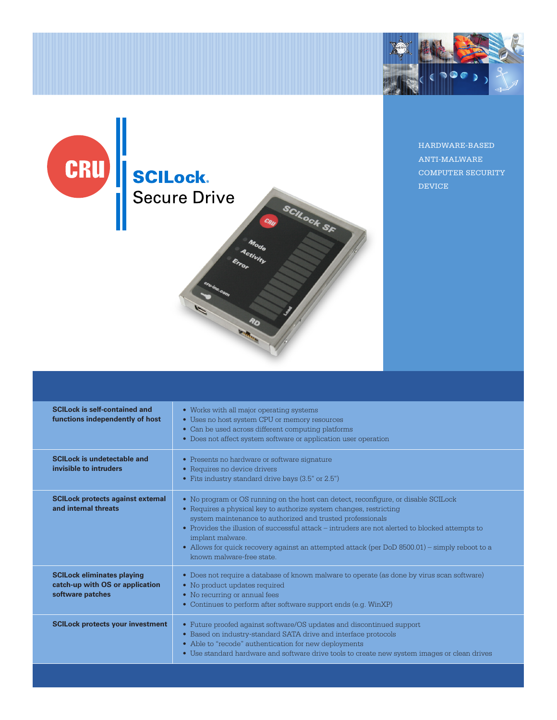



HARDWARE-BASED ANTI-MALWARE COMPUTER SECURITY DEVICE

| <b>SCILock is self-contained and</b><br>functions independently of host                  | • Works with all major operating systems<br>• Uses no host system CPU or memory resources<br>• Can be used across different computing platforms<br>• Does not affect system software or application user operation                                                                                                                                                                                                                                                           |
|------------------------------------------------------------------------------------------|------------------------------------------------------------------------------------------------------------------------------------------------------------------------------------------------------------------------------------------------------------------------------------------------------------------------------------------------------------------------------------------------------------------------------------------------------------------------------|
| <b>SCILock is undetectable and</b><br>invisible to intruders                             | • Presents no hardware or software signature<br>• Requires no device drivers<br>• Fits industry standard drive bays (3.5" or 2.5")                                                                                                                                                                                                                                                                                                                                           |
| <b>SCILock protects against external</b><br>and internal threats                         | • No program or OS running on the host can detect, reconfigure, or disable SCILock<br>• Requires a physical key to authorize system changes, restricting<br>system maintenance to authorized and trusted professionals<br>• Provides the illusion of successful attack - intruders are not alerted to blocked attempts to<br>implant malware.<br>• Allows for quick recovery against an attempted attack (per DoD 8500.01) – simply reboot to a<br>known malware-free state. |
| <b>SCILock eliminates playing</b><br>catch-up with OS or application<br>software patches | • Does not require a database of known malware to operate (as done by virus scan software)<br>• No product updates required<br>• No recurring or annual fees<br>Continues to perform after software support ends (e.g. WinXP)<br>$\bullet$                                                                                                                                                                                                                                   |
| <b>SCILock protects your investment</b>                                                  | • Future proofed against software/OS updates and discontinued support<br>• Based on industry-standard SATA drive and interface protocols<br>• Able to "recode" authentication for new deployments<br>• Use standard hardware and software drive tools to create new system images or clean drives                                                                                                                                                                            |